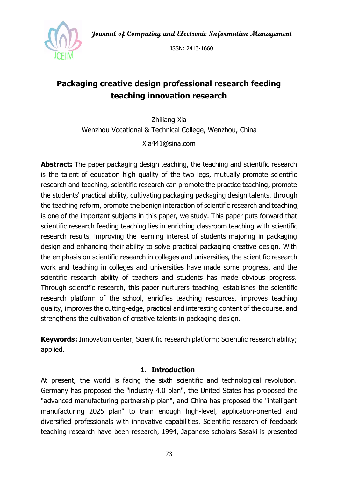**Journal of Computing and Electronic Information Management**



ISSN: 2413-1660

# **Packaging creative design professional research feeding teaching innovation research**

Zhiliang Xia Wenzhou Vocational & Technical College, Wenzhou, China

Xia441@sina.com

**Abstract:** The paper packaging design teaching, the teaching and scientific research is the talent of education high quality of the two legs, mutually promote scientific research and teaching, scientific research can promote the practice teaching, promote the students' practical ability, cultivating packaging packaging design talents, through the teaching reform, promote the benign interaction of scientific research and teaching, is one of the important subjects in this paper, we study. This paper puts forward that scientific research feeding teaching lies in enriching classroom teaching with scientific research results, improving the learning interest of students majoring in packaging design and enhancing their ability to solve practical packaging creative design. With the emphasis on scientific research in colleges and universities, the scientific research work and teaching in colleges and universities have made some progress, and the scientific research ability of teachers and students has made obvious progress. Through scientific research, this paper nurturers teaching, establishes the scientific research platform of the school, enricfies teaching resources, improves teaching quality, improves the cutting-edge, practical and interesting content of the course, and strengthens the cultivation of creative talents in packaging design.

**Keywords:** Innovation center; Scientific research platform; Scientific research ability; applied.

### **1. Introduction**

At present, the world is facing the sixth scientific and technological revolution. Germany has proposed the "industry 4.0 plan", the United States has proposed the "advanced manufacturing partnership plan", and China has proposed the "intelligent manufacturing 2025 plan" to train enough high-level, application-oriented and diversified professionals with innovative capabilities. Scientific research of feedback teaching research have been research, 1994, Japanese scholars Sasaki is presented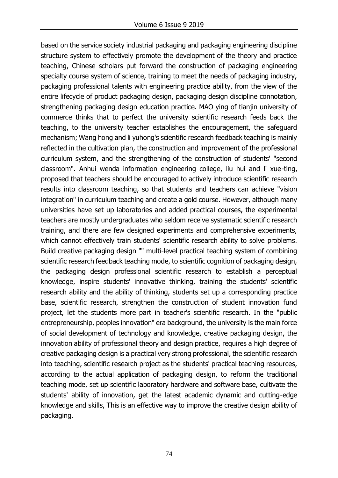based on the service society industrial packaging and packaging engineering discipline structure system to effectively promote the development of the theory and practice teaching, Chinese scholars put forward the construction of packaging engineering specialty course system of science, training to meet the needs of packaging industry, packaging professional talents with engineering practice ability, from the view of the entire lifecycle of product packaging design, packaging design discipline connotation, strengthening packaging design education practice. MAO ying of tianjin university of commerce thinks that to perfect the university scientific research feeds back the teaching, to the university teacher establishes the encouragement, the safeguard mechanism; Wang hong and li yuhong's scientific research feedback teaching is mainly reflected in the cultivation plan, the construction and improvement of the professional curriculum system, and the strengthening of the construction of students' "second classroom". Anhui wenda information engineering college, liu hui and li xue-ting, proposed that teachers should be encouraged to actively introduce scientific research results into classroom teaching, so that students and teachers can achieve "vision integration" in curriculum teaching and create a gold course. However, although many universities have set up laboratories and added practical courses, the experimental teachers are mostly undergraduates who seldom receive systematic scientific research training, and there are few designed experiments and comprehensive experiments, which cannot effectively train students' scientific research ability to solve problems. Build creative packaging design "" multi-level practical teaching system of combining scientific research feedback teaching mode, to scientific cognition of packaging design, the packaging design professional scientific research to establish a perceptual knowledge, inspire students' innovative thinking, training the students' scientific research ability and the ability of thinking, students set up a corresponding practice base, scientific research, strengthen the construction of student innovation fund project, let the students more part in teacher's scientific research. In the "public entrepreneurship, peoples innovation" era background, the university is the main force of social development of technology and knowledge, creative packaging design, the innovation ability of professional theory and design practice, requires a high degree of creative packaging design is a practical very strong professional, the scientific research into teaching, scientific research project as the students' practical teaching resources, according to the actual application of packaging design, to reform the traditional teaching mode, set up scientific laboratory hardware and software base, cultivate the students' ability of innovation, get the latest academic dynamic and cutting-edge knowledge and skills, This is an effective way to improve the creative design ability of packaging.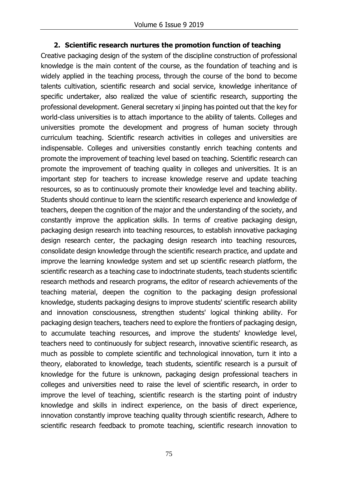### **2. Scientific research nurtures the promotion function of teaching**

Creative packaging design of the system of the discipline construction of professional knowledge is the main content of the course, as the foundation of teaching and is widely applied in the teaching process, through the course of the bond to become talents cultivation, scientific research and social service, knowledge inheritance of specific undertaker, also realized the value of scientific research, supporting the professional development. General secretary xi jinping has pointed out that the key for world-class universities is to attach importance to the ability of talents. Colleges and universities promote the development and progress of human society through curriculum teaching. Scientific research activities in colleges and universities are indispensable. Colleges and universities constantly enrich teaching contents and promote the improvement of teaching level based on teaching. Scientific research can promote the improvement of teaching quality in colleges and universities. It is an important step for teachers to increase knowledge reserve and update teaching resources, so as to continuously promote their knowledge level and teaching ability. Students should continue to learn the scientific research experience and knowledge of teachers, deepen the cognition of the major and the understanding of the society, and constantly improve the application skills. In terms of creative packaging design, packaging design research into teaching resources, to establish innovative packaging design research center, the packaging design research into teaching resources, consolidate design knowledge through the scientific research practice, and update and improve the learning knowledge system and set up scientific research platform, the scientific research as a teaching case to indoctrinate students, teach students scientific research methods and research programs, the editor of research achievements of the teaching material, deepen the cognition to the packaging design professional knowledge, students packaging designs to improve students' scientific research ability and innovation consciousness, strengthen students' logical thinking ability. For packaging design teachers, teachers need to explore the frontiers of packaging design, to accumulate teaching resources, and improve the students' knowledge level, teachers need to continuously for subject research, innovative scientific research, as much as possible to complete scientific and technological innovation, turn it into a theory, elaborated to knowledge, teach students, scientific research is a pursuit of knowledge for the future is unknown, packaging design professional teachers in colleges and universities need to raise the level of scientific research, in order to improve the level of teaching, scientific research is the starting point of industry knowledge and skills in indirect experience, on the basis of direct experience, innovation constantly improve teaching quality through scientific research, Adhere to scientific research feedback to promote teaching, scientific research innovation to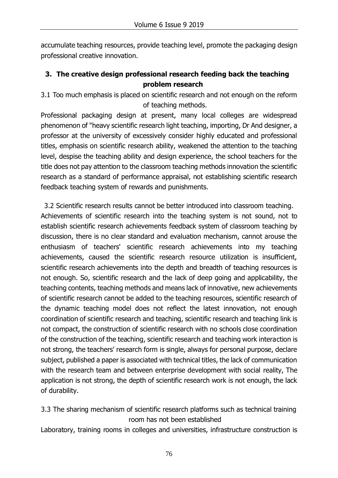accumulate teaching resources, provide teaching level, promote the packaging design professional creative innovation.

# **3. The creative design professional research feeding back the teaching problem research**

3.1 Too much emphasis is placed on scientific research and not enough on the reform of teaching methods.

Professional packaging design at present, many local colleges are widespread phenomenon of "heavy scientific research light teaching, importing, Dr And designer, a professor at the university of excessively consider highly educated and professional titles, emphasis on scientific research ability, weakened the attention to the teaching level, despise the teaching ability and design experience, the school teachers for the title does not pay attention to the classroom teaching methods innovation the scientific research as a standard of performance appraisal, not establishing scientific research feedback teaching system of rewards and punishments.

3.2 Scientific research results cannot be better introduced into classroom teaching. Achievements of scientific research into the teaching system is not sound, not to establish scientific research achievements feedback system of classroom teaching by discussion, there is no clear standard and evaluation mechanism, cannot arouse the enthusiasm of teachers' scientific research achievements into my teaching achievements, caused the scientific research resource utilization is insufficient, scientific research achievements into the depth and breadth of teaching resources is not enough. So, scientific research and the lack of deep going and applicability, the teaching contents, teaching methods and means lack of innovative, new achievements of scientific research cannot be added to the teaching resources, scientific research of the dynamic teaching model does not reflect the latest innovation, not enough coordination of scientific research and teaching, scientific research and teaching link is not compact, the construction of scientific research with no schools close coordination of the construction of the teaching, scientific research and teaching work interaction is not strong, the teachers' research form is single, always for personal purpose, declare subject, published a paper is associated with technical titles, the lack of communication with the research team and between enterprise development with social reality, The application is not strong, the depth of scientific research work is not enough, the lack of durability.

3.3 The sharing mechanism of scientific research platforms such as technical training room has not been established

Laboratory, training rooms in colleges and universities, infrastructure construction is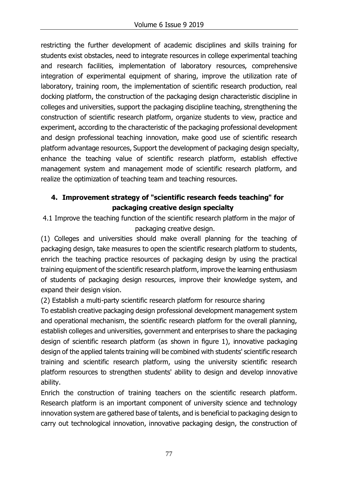restricting the further development of academic disciplines and skills training for students exist obstacles, need to integrate resources in college experimental teaching and research facilities, implementation of laboratory resources, comprehensive integration of experimental equipment of sharing, improve the utilization rate of laboratory, training room, the implementation of scientific research production, real docking platform, the construction of the packaging design characteristic discipline in colleges and universities, support the packaging discipline teaching, strengthening the construction of scientific research platform, organize students to view, practice and experiment, according to the characteristic of the packaging professional development and design professional teaching innovation, make good use of scientific research platform advantage resources, Support the development of packaging design specialty, enhance the teaching value of scientific research platform, establish effective management system and management mode of scientific research platform, and realize the optimization of teaching team and teaching resources.

# **4. Improvement strategy of "scientific research feeds teaching" for packaging creative design specialty**

4.1 Improve the teaching function of the scientific research platform in the major of packaging creative design.

(1) Colleges and universities should make overall planning for the teaching of packaging design, take measures to open the scientific research platform to students, enrich the teaching practice resources of packaging design by using the practical training equipment of the scientific research platform, improve the learning enthusiasm of students of packaging design resources, improve their knowledge system, and expand their design vision.

(2) Establish a multi-party scientific research platform for resource sharing

To establish creative packaging design professional development management system and operational mechanism, the scientific research platform for the overall planning, establish colleges and universities, government and enterprises to share the packaging design of scientific research platform (as shown in figure 1), innovative packaging design of the applied talents training will be combined with students' scientific research training and scientific research platform, using the university scientific research platform resources to strengthen students' ability to design and develop innovative ability.

Enrich the construction of training teachers on the scientific research platform. Research platform is an important component of university science and technology innovation system are gathered base of talents, and is beneficial to packaging design to carry out technological innovation, innovative packaging design, the construction of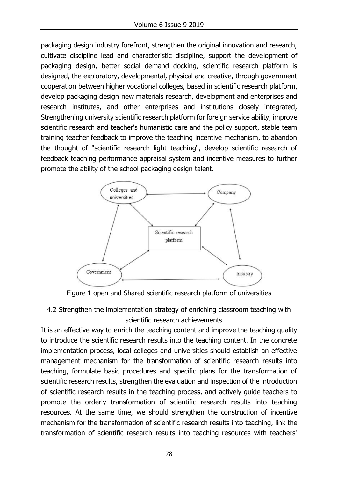packaging design industry forefront, strengthen the original innovation and research, cultivate discipline lead and characteristic discipline, support the development of packaging design, better social demand docking, scientific research platform is designed, the exploratory, developmental, physical and creative, through government cooperation between higher vocational colleges, based in scientific research platform, develop packaging design new materials research, development and enterprises and research institutes, and other enterprises and institutions closely integrated, Strengthening university scientific research platform for foreign service ability, improve scientific research and teacher's humanistic care and the policy support, stable team training teacher feedback to improve the teaching incentive mechanism, to abandon the thought of "scientific research light teaching", develop scientific research of feedback teaching performance appraisal system and incentive measures to further promote the ability of the school packaging design talent.





4.2 Strengthen the implementation strategy of enriching classroom teaching with scientific research achievements.

It is an effective way to enrich the teaching content and improve the teaching quality to introduce the scientific research results into the teaching content. In the concrete implementation process, local colleges and universities should establish an effective management mechanism for the transformation of scientific research results into teaching, formulate basic procedures and specific plans for the transformation of scientific research results, strengthen the evaluation and inspection of the introduction of scientific research results in the teaching process, and actively guide teachers to promote the orderly transformation of scientific research results into teaching resources. At the same time, we should strengthen the construction of incentive mechanism for the transformation of scientific research results into teaching, link the transformation of scientific research results into teaching resources with teachers'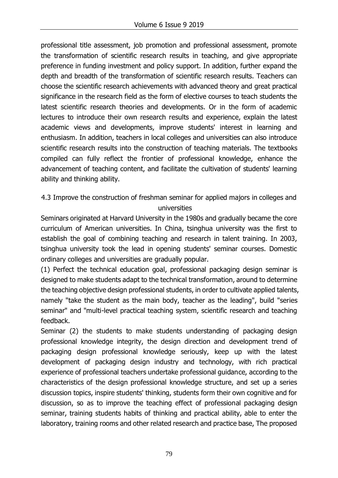professional title assessment, job promotion and professional assessment, promote the transformation of scientific research results in teaching, and give appropriate preference in funding investment and policy support. In addition, further expand the depth and breadth of the transformation of scientific research results. Teachers can choose the scientific research achievements with advanced theory and great practical significance in the research field as the form of elective courses to teach students the latest scientific research theories and developments. Or in the form of academic lectures to introduce their own research results and experience, explain the latest academic views and developments, improve students' interest in learning and enthusiasm. In addition, teachers in local colleges and universities can also introduce scientific research results into the construction of teaching materials. The textbooks compiled can fully reflect the frontier of professional knowledge, enhance the advancement of teaching content, and facilitate the cultivation of students' learning ability and thinking ability.

4.3 Improve the construction of freshman seminar for applied majors in colleges and universities

Seminars originated at Harvard University in the 1980s and gradually became the core curriculum of American universities. In China, tsinghua university was the first to establish the goal of combining teaching and research in talent training. In 2003, tsinghua university took the lead in opening students' seminar courses. Domestic ordinary colleges and universities are gradually popular.

(1) Perfect the technical education goal, professional packaging design seminar is designed to make students adapt to the technical transformation, around to determine the teaching objective design professional students, in order to cultivate applied talents, namely "take the student as the main body, teacher as the leading", build "series seminar" and "multi-level practical teaching system, scientific research and teaching feedback.

Seminar (2) the students to make students understanding of packaging design professional knowledge integrity, the design direction and development trend of packaging design professional knowledge seriously, keep up with the latest development of packaging design industry and technology, with rich practical experience of professional teachers undertake professional guidance, according to the characteristics of the design professional knowledge structure, and set up a series discussion topics, inspire students' thinking, students form their own cognitive and for discussion, so as to improve the teaching effect of professional packaging design seminar, training students habits of thinking and practical ability, able to enter the laboratory, training rooms and other related research and practice base, The proposed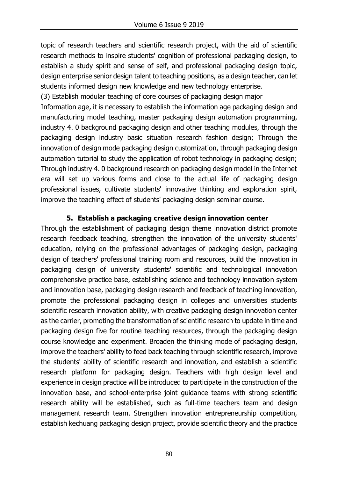topic of research teachers and scientific research project, with the aid of scientific research methods to inspire students' cognition of professional packaging design, to establish a study spirit and sense of self, and professional packaging design topic, design enterprise senior design talent to teaching positions, as a design teacher, can let students informed design new knowledge and new technology enterprise.

(3) Establish modular teaching of core courses of packaging design major

Information age, it is necessary to establish the information age packaging design and manufacturing model teaching, master packaging design automation programming, industry 4. 0 background packaging design and other teaching modules, through the packaging design industry basic situation research fashion design; Through the innovation of design mode packaging design customization, through packaging design automation tutorial to study the application of robot technology in packaging design; Through industry 4. 0 background research on packaging design model in the Internet era will set up various forms and close to the actual life of packaging design professional issues, cultivate students' innovative thinking and exploration spirit, improve the teaching effect of students' packaging design seminar course.

## **5. Establish a packaging creative design innovation center**

Through the establishment of packaging design theme innovation district promote research feedback teaching, strengthen the innovation of the university students' education, relying on the professional advantages of packaging design, packaging design of teachers' professional training room and resources, build the innovation in packaging design of university students' scientific and technological innovation comprehensive practice base, establishing science and technology innovation system and innovation base, packaging design research and feedback of teaching innovation, promote the professional packaging design in colleges and universities students scientific research innovation ability, with creative packaging design innovation center as the carrier, promoting the transformation of scientific research to update in time and packaging design five for routine teaching resources, through the packaging design course knowledge and experiment. Broaden the thinking mode of packaging design, improve the teachers' ability to feed back teaching through scientific research, improve the students' ability of scientific research and innovation, and establish a scientific research platform for packaging design. Teachers with high design level and experience in design practice will be introduced to participate in the construction of the innovation base, and school-enterprise joint guidance teams with strong scientific research ability will be established, such as full-time teachers team and design management research team. Strengthen innovation entrepreneurship competition, establish kechuang packaging design project, provide scientific theory and the practice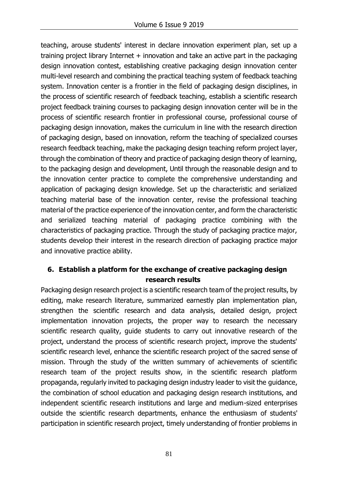teaching, arouse students' interest in declare innovation experiment plan, set up a training project library Internet  $+$  innovation and take an active part in the packaging design innovation contest, establishing creative packaging design innovation center multi-level research and combining the practical teaching system of feedback teaching system. Innovation center is a frontier in the field of packaging design disciplines, in the process of scientific research of feedback teaching, establish a scientific research project feedback training courses to packaging design innovation center will be in the process of scientific research frontier in professional course, professional course of packaging design innovation, makes the curriculum in line with the research direction of packaging design, based on innovation, reform the teaching of specialized courses research feedback teaching, make the packaging design teaching reform project layer, through the combination of theory and practice of packaging design theory of learning, to the packaging design and development, Until through the reasonable design and to the innovation center practice to complete the comprehensive understanding and application of packaging design knowledge. Set up the characteristic and serialized teaching material base of the innovation center, revise the professional teaching material of the practice experience of the innovation center, and form the characteristic and serialized teaching material of packaging practice combining with the characteristics of packaging practice. Through the study of packaging practice major, students develop their interest in the research direction of packaging practice major and innovative practice ability.

## **6. Establish a platform for the exchange of creative packaging design research results**

Packaging design research project is a scientific research team of the project results, by editing, make research literature, summarized earnestly plan implementation plan, strengthen the scientific research and data analysis, detailed design, project implementation innovation projects, the proper way to research the necessary scientific research quality, guide students to carry out innovative research of the project, understand the process of scientific research project, improve the students' scientific research level, enhance the scientific research project of the sacred sense of mission. Through the study of the written summary of achievements of scientific research team of the project results show, in the scientific research platform propaganda, regularly invited to packaging design industry leader to visit the guidance, the combination of school education and packaging design research institutions, and independent scientific research institutions and large and medium-sized enterprises outside the scientific research departments, enhance the enthusiasm of students' participation in scientific research project, timely understanding of frontier problems in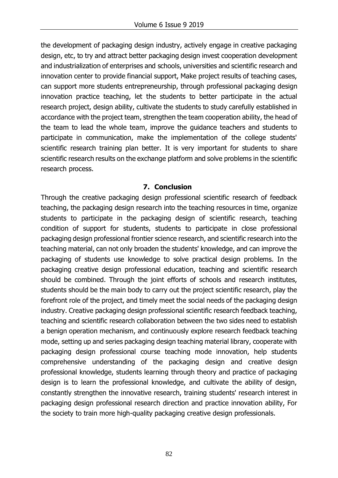the development of packaging design industry, actively engage in creative packaging design, etc, to try and attract better packaging design invest cooperation development and industrialization of enterprises and schools, universities and scientific research and innovation center to provide financial support, Make project results of teaching cases, can support more students entrepreneurship, through professional packaging design innovation practice teaching, let the students to better participate in the actual research project, design ability, cultivate the students to study carefully established in accordance with the project team, strengthen the team cooperation ability, the head of the team to lead the whole team, improve the guidance teachers and students to participate in communication, make the implementation of the college students' scientific research training plan better. It is very important for students to share scientific research results on the exchange platform and solve problems in the scientific research process.

#### **7. Conclusion**

Through the creative packaging design professional scientific research of feedback teaching, the packaging design research into the teaching resources in time, organize students to participate in the packaging design of scientific research, teaching condition of support for students, students to participate in close professional packaging design professional frontier science research, and scientific research into the teaching material, can not only broaden the students' knowledge, and can improve the packaging of students use knowledge to solve practical design problems. In the packaging creative design professional education, teaching and scientific research should be combined. Through the joint efforts of schools and research institutes, students should be the main body to carry out the project scientific research, play the forefront role of the project, and timely meet the social needs of the packaging design industry. Creative packaging design professional scientific research feedback teaching, teaching and scientific research collaboration between the two sides need to establish a benign operation mechanism, and continuously explore research feedback teaching mode, setting up and series packaging design teaching material library, cooperate with packaging design professional course teaching mode innovation, help students comprehensive understanding of the packaging design and creative design professional knowledge, students learning through theory and practice of packaging design is to learn the professional knowledge, and cultivate the ability of design, constantly strengthen the innovative research, training students' research interest in packaging design professional research direction and practice innovation ability, For the society to train more high-quality packaging creative design professionals.